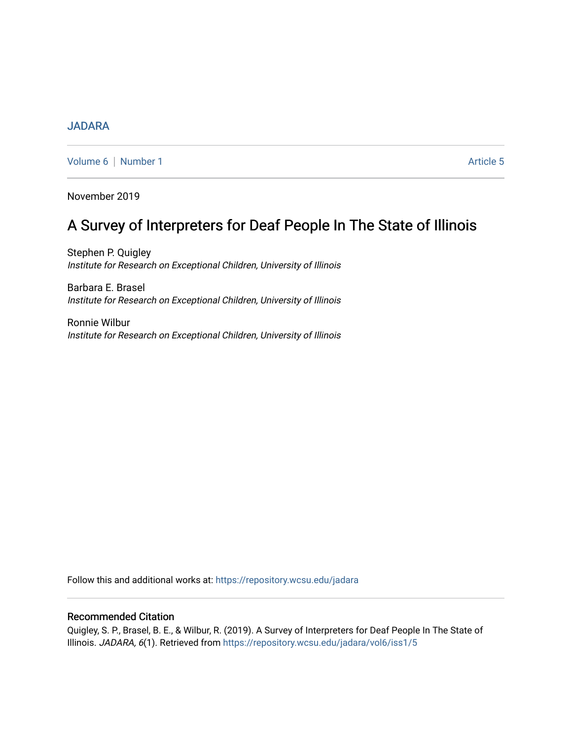# [JADARA](https://repository.wcsu.edu/jadara)

[Volume 6](https://repository.wcsu.edu/jadara/vol6) | [Number 1](https://repository.wcsu.edu/jadara/vol6/iss1) Article 5

November 2019

# A Survey of Interpreters for Deaf People In The State of Illinois

Stephen P. Quigley Institute for Research on Exceptional Children, University of Illinois

Barbara E. Brasel Institute for Research on Exceptional Children, University of Illinois

Ronnie Wilbur Institute for Research on Exceptional Children, University of Illinois

Follow this and additional works at: [https://repository.wcsu.edu/jadara](https://repository.wcsu.edu/jadara?utm_source=repository.wcsu.edu%2Fjadara%2Fvol6%2Fiss1%2F5&utm_medium=PDF&utm_campaign=PDFCoverPages)

# Recommended Citation

Quigley, S. P., Brasel, B. E., & Wilbur, R. (2019). A Survey of Interpreters for Deaf People In The State of Illinois. JADARA, 6(1). Retrieved from [https://repository.wcsu.edu/jadara/vol6/iss1/5](https://repository.wcsu.edu/jadara/vol6/iss1/5?utm_source=repository.wcsu.edu%2Fjadara%2Fvol6%2Fiss1%2F5&utm_medium=PDF&utm_campaign=PDFCoverPages)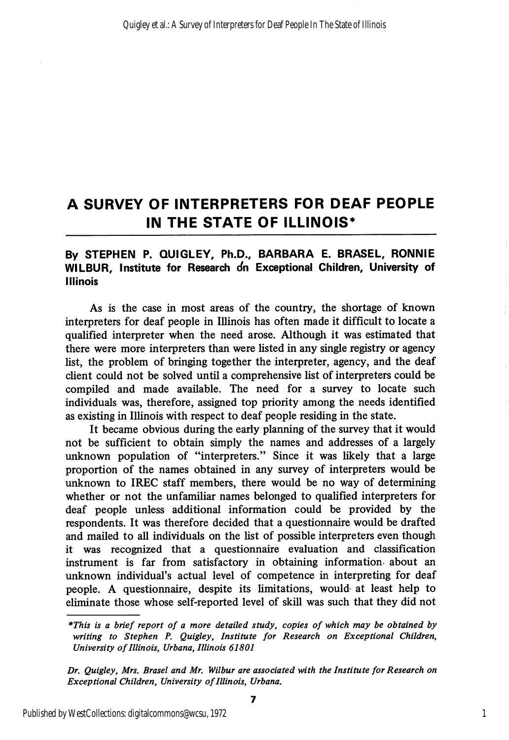# A SURVEY OF INTERPRETERS FOR DEAF PEOPLE IN THE STATE OF ILLINOIS\*

# By STEPHEN P. QUIGLEY, Ph.D., BARBARA E. BRASEL, RONNIE WILBUR, Institute for Research on Exceptional Children, University of Illinois

As is the case in most areas of the country, the shortage of known interpreters for deaf people in Illinois has often made it difficult to locate a qualified interpreter when the need arose. Although it was estimated that there were more interpreters than were listed in any single registry or agency list, the problem of bringing together the interpreter, agency, and the deaf client could not be solved until a comprehensive list of interpreters could be compiled and made available. The need for a survey to locate such individuals was, therefore, assigned top priority among the needs identified as existing in Illinois with respect to deaf people residing in the state.

It became obvious during the early planning of the survey that it would not be sufficient to obtain simply the names and addresses of a largely unknown population of "interpreters." Since it was likely that a large proportion of the names obtained in any survey of interpreters would be unknown to IREC staff members, there would be no way of determining whether or not the unfamiliar names belonged to qualified interpreters for deaf people unless additional information could be provided by the respondents. It was therefore decided that a questionnaire would be drafted and mailed to all individuals on the list of possible interpreters even though it was recognized that a questionnaire evaluation and classification instrument is far from satisfactory in obtaining information- about an unknown individual's actual level of competence in interpreting for deaf people. A questionnaire, despite its limitations, would- at least help to eliminate those whose self-reported level of skill was such that they did not

<sup>\*</sup>This is a brief report of a more detailed study, copies of which may be obtained by writing to Stephen P. Quigley, Institute for Research on Exceptional Children, University of Illinois, Urbana, Illinois 61801

Dr. Quigley, Mrs. Brasel and Mr. Wilbur are associated with the Institute for Research on Exceptional Children, University of Illinois, Urbana.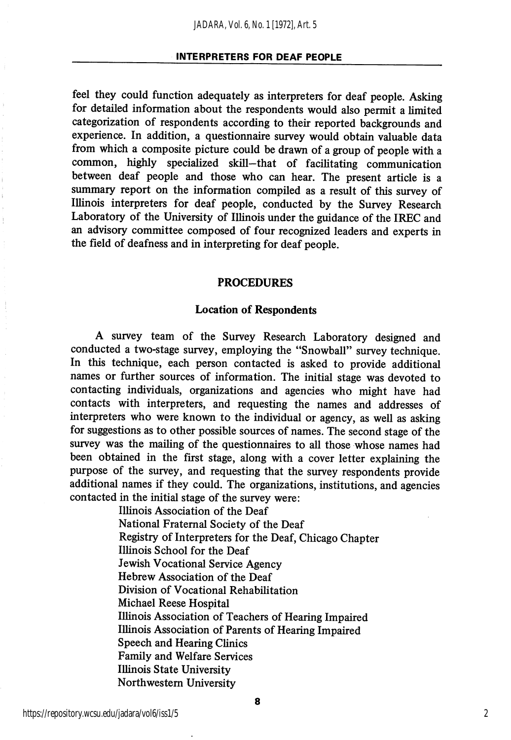#### INTERPRETERS FOR DEAF PEOPLE

feel they could function adequately as interpreters for deaf people. Asking for detailed information about the respondents would also permit a limited categorization of respondents according to their reported backgrounds and experience. In addition, a questionnaire survey would obtain valuable data from which a composite picture could be drawn of a group of people with a common, highly specialized skill—that of facilitating communication between deaf people and those who can hear. The present article is a summary report on the information compiled as a result of this survey of Illinois interpreters for deaf people, conducted by the Survey Research Laboratory of the University of Illinois under the guidance of the IREC and an advisory committee composed of four recognized leaders and experts in the field of deafness and in interpreting for deaf people.

#### PROCEDURES

#### Location of Respondents

A survey team of the Survey Research Laboratory designed and conducted a two-stage survey, employing the "Snowball" survey technique. In this technique, each person contacted is asked to provide additional names or further sources of information. The initial stage was devoted to contacting individuals, organizations and agencies who might have had contacts with interpreters, and requesting the names and addresses of interpreters who were known to the individual or agency, as well as asking for suggestions as to other possible sources of names. The second stage of the survey was the mailing of the questionnaires to all those whose names had been obtained in the first stage, along with a cover letter explaining the purpose of the survey, and requesting that the survey respondents provide additional names if they could. The organizations, institutions, and agencies contacted in the initial stage of the survey were:

> Illinois Association of the Deaf National Fraternal Society of the Deaf Registry of Interpreters for the Deaf, Chicago Chapter Illinois School for the Deaf Jewish Vocational Service Agency Hebrew Association of the Deaf Division of Vocational Rehabilitation Michael Reese Hospital Illinois Association of Teachers of Hearing Impaired Illinois Association of Parents of Hearing Impaired Speech and Hearing Clinics Family and Welfare Services Illinois State University Northwestem University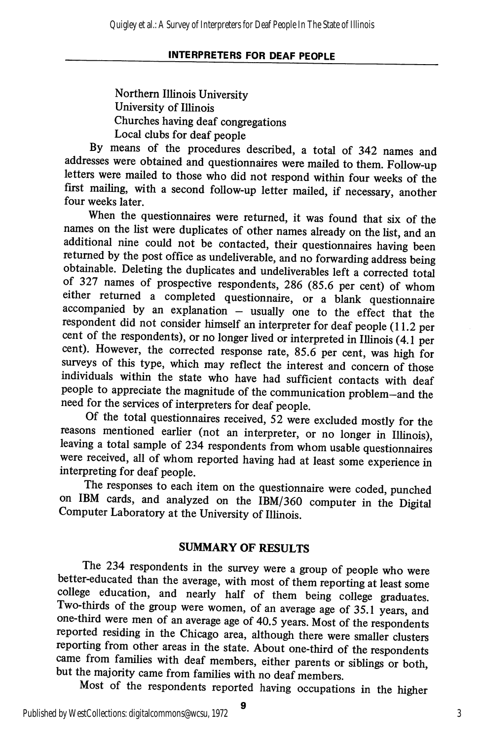## INTERPRETERS FOR DEAF PEOPLE

Northern Illinois University University of Illinois Churches having deaf congregations Local clubs for deaf people

By means of the procedures described, a total of 342 names and addresses were obtained and questionnaires were mailed to them. Follow-up letters were mailed to those who did not respond within four weeks of the first mailing, with a second follow-up letter mailed, if necessary, another four weeks later.

When the questionnaires were returned, it was found that six of the names on the list were duplicates of other names already on the list, and an additional nine could not be contacted, their questionnaires having been returned by the post office as undeliverable, and no forwarding address being obtainable. Deleting the duplicates and undeliverables left a corrected total of 327 names of prospective respondents, 286 (85.6 per cent) of whom either returned a completed questionnaire, or a blank questionnaire accompanied by an explanation — usually one to the effect that the respondent did not consider himself an interpreter for deaf people (11.2 per cent of the respondents), or no longer lived or interpreted in Illinois (4.1 per cent). However, the corrected response rate, 85.6 per cent, was high for surveys of this type, which may reflect the interest and concern of those individuals within the state who have had sufficient contacts with deaf people to appreciate the magnitude of the communication problem—and the need for the services of interpreters for deaf people.

Of the total questionnaires received, 52 were excluded mostly for the reasons mentioned earlier (not an interpreter, or no longer in Illinois), leaving a total sample of 234 respondents from whom usable questionnaires were received, all of whom reported having had at least some experience in interpreting for deaf people.

The responses to each item on the questionnaire were coded, punched on IBM cards, and analyzed on the IBM/360 computer in the Digital Computer Laboratory at the University of Illinois

# SUMMARY OF RESULTS

The 234 respondents in the survey were a group of people who were better-educated than the average, with most of them reporting at least some college education, and nearly half of them being college graduates. Two-thirds of the group were women, of an average age of 35.1 years, and one-third were men of an average age of 40.5 years. Most of the respondents reported residing in the Chicago area, although there were smaller clusters reporting from other areas in the state. About one-third of the respondents came from families with deaf members, either parents or siblings or both, but the majority came from families with no deaf members.

Most of the respondents reported having occupations in the higher

9